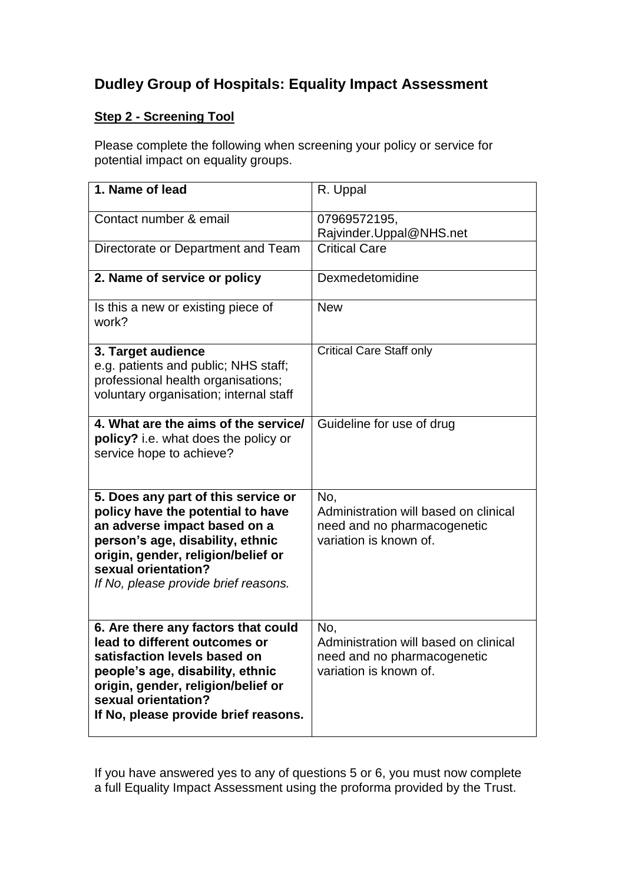# **Dudley Group of Hospitals: Equality Impact Assessment**

# **Step 2 - Screening Tool**

Please complete the following when screening your policy or service for potential impact on equality groups.

| 1. Name of lead                                                                                                                                                                                                                                   | R. Uppal                                                                                              |
|---------------------------------------------------------------------------------------------------------------------------------------------------------------------------------------------------------------------------------------------------|-------------------------------------------------------------------------------------------------------|
| Contact number & email                                                                                                                                                                                                                            | 07969572195,<br>Rajvinder.Uppal@NHS.net                                                               |
| Directorate or Department and Team                                                                                                                                                                                                                | <b>Critical Care</b>                                                                                  |
| 2. Name of service or policy                                                                                                                                                                                                                      | Dexmedetomidine                                                                                       |
| Is this a new or existing piece of<br>work?                                                                                                                                                                                                       | <b>New</b>                                                                                            |
| 3. Target audience<br>e.g. patients and public; NHS staff;<br>professional health organisations;<br>voluntary organisation; internal staff                                                                                                        | <b>Critical Care Staff only</b>                                                                       |
| 4. What are the aims of the service/<br>policy? i.e. what does the policy or<br>service hope to achieve?                                                                                                                                          | Guideline for use of drug                                                                             |
| 5. Does any part of this service or<br>policy have the potential to have<br>an adverse impact based on a<br>person's age, disability, ethnic<br>origin, gender, religion/belief or<br>sexual orientation?<br>If No, please provide brief reasons. | No.<br>Administration will based on clinical<br>need and no pharmacogenetic<br>variation is known of. |
| 6. Are there any factors that could<br>lead to different outcomes or<br>satisfaction levels based on<br>people's age, disability, ethnic<br>origin, gender, religion/belief or<br>sexual orientation?<br>If No, please provide brief reasons.     | No,<br>Administration will based on clinical<br>need and no pharmacogenetic<br>variation is known of. |

If you have answered yes to any of questions 5 or 6, you must now complete a full Equality Impact Assessment using the proforma provided by the Trust.